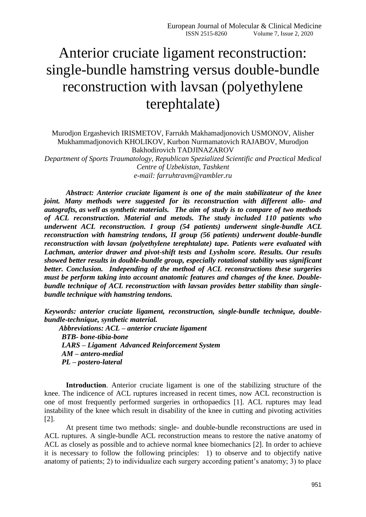## Anterior cruciate ligament reconstruction: single-bundle hamstring versus double-bundle reconstruction with lavsan (polyethylene terephtalate)

Murodjon Ergashevich IRISMETOV, Farrukh Makhamadjonovich USMONOV, Alisher Mukhammadjonovich KHOLIKOV, Kurbon Nurmamatovich RAJABOV, Murodjon Bakhodirovich TADJINAZAROV *Department of Sports Traumatology, Republican Spezialized Scientific and Practical Medical* 

*Centre of Uzbekistan, Tashkent e-mail: farruhtravm@rambler.ru*

*Abstract: Anterior cruciate ligament is one of the main stabilizateur of the knee joint. Many methods were suggested for its reconstruction with different allo- and autografts, as well as synthetic materials. The aim of study is to compare of two methods of ACL reconstruction. Material and metods. The study included 110 patients who underwent ACL reconstruction. I group (54 patients) underwent single-bundle ACL reconstruction with hamstring tendons, II group (56 patients) underwent double-bundle reconstruction with lavsan (polyethylene terephtalate) tape. Patients were evaluated with Lachman, anterior drawer and pivot-shift tests and Lysholm score. Results. Our results showed better results in double-bundle group, especially rotational stability was significant better. Conclusion. Independing of the method of ACL reconstructions these surgeries must be perform taking into account anatomic features and changes of the knee. Doublebundle technique of ACL reconstruction with lavsan provides better stability than singlebundle technique with hamstring tendons.* 

*Keywords: anterior cruciate ligament, reconstruction, single-bundle technique, doublebundle-technique, synthetic material.* 

 *Abbreviations: ACL – anterior cruciate ligament BTB- bone-tibia-bone LARS – Ligament Advanced Reinforcement System AM – antero-medial PL – postero-lateral*

**Introduction**. Anterior cruciate ligament is one of the stabilizing structure of the knee. The indicence of ACL ruptures increased in recent times, now ACL reconstruction is one of most frequently performed surgeries in orthopaedics [1]. ACL ruptures may lead instability of the knee which result in disability of the knee in cutting and pivoting activities [2].

At present time two methods: single- and double-bundle reconstructions are used in ACL ruptures. A single-bundle ACL reconstruction means to restore the native anatomy of ACL as closely as possible and to achieve normal knee biomechanics [2]. In order to achieve it is necessary to follow the following principles: 1) to observe and to objectify native anatomy of patients; 2) to individualize each surgery according patient's anatomy; 3) to place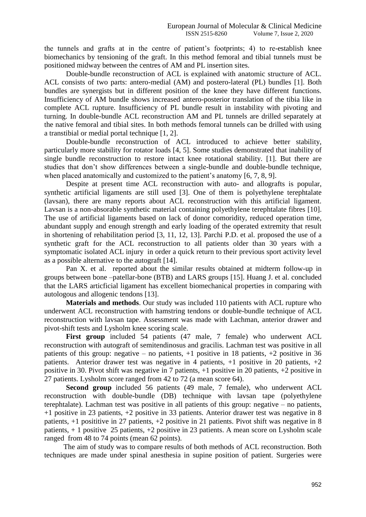the tunnels and grafts at in the centre of patient's footprints; 4) to re-establish knee biomechanics by tensioning of the graft. In this method femoral and tibial tunnels must be positioned midway between the centres of AM and PL insertion sites.

Double-bundle reconstruction of ACL is explained with anatomic structure of ACL. ACL consists of two parts: antero-medial (AM) and postero-lateral (PL) bundles [1]. Both bundles are synergists but in different position of the knee they have different functions. Insufficiency of AM bundle shows increased antero-posterior translation of the tibia like in complete ACL rupture. Insufficiency of PL bundle result in instability with pivoting and turning. In double-bundle ACL reconstruction AM and PL tunnels are drilled separately at the native femoral and tibial sites. In both methods femoral tunnels can be drilled with using a transtibial or medial portal technique [1, 2].

Double-bundle reconstruction of ACL introduced to achieve better stability, particularly more stability for rotator loads [4, 5]. Some studies demonstrated that inability of single bundle reconstruction to restore intact knee rotational stability. [1]. But there are studies that don't show differences between a single-bundle and double-bundle technique, when placed anatomically and customized to the patient's anatomy [6, 7, 8, 9].

Despite at present time ACL reconstruction with auto- and allografts is popular, synthetic artificial ligaments are still used [3]. One of them is polyethylene terephtalate (lavsan), there are many reports about ACL reconstruction with this artificial ligament. Lavsan is a non-absorable synthetic material containing polyethylene terephtalate fibres [10]. The use of artificial ligaments based on lack of donor comoridity, reduced operation time, abundant supply and enough strength and early loading of the operated extremity that result in shortening of rehabilitation period [3, 11, 12, 13]. Parchi P.D. et al. proposed the use of a synthetic graft for the ACL reconstruction to all patients older than 30 years with a symptomatic isolated ACL injury in order a quick return to their previous sport activity level as a possible alternative to the autograft [14].

Pan X. et al. reported about the similar results obtained at midterm follow-up in groups between bone –patellar-bone (BTB) and LARS groups [15]. Huang J. et al. concluded that the LARS articficial ligament has excellent biomechanical properties in comparing with autologous and allogenic tendons [13].

**Materials and methods**. Our study was included 110 patients with ACL rupture who underwent ACL reconstruction with hamstring tendons or double-bundle technique of ACL reconstruction with lavsan tape. Assessment was made with Lachman, anterior drawer and pivot-shift tests and Lysholm knee scoring scale.

First group included 54 patients (47 male, 7 female) who underwent ACL reconstruction with autograft of semitendinosus and gracilis. Lachman test was positive in all patients of this group: negative – no patients,  $+1$  positive in 18 patients,  $+2$  positive in 36 patients. Anterior drawer test was negative in 4 patients,  $+1$  positive in 20 patients,  $+2$ positive in 30. Pivot shift was negative in 7 patients, +1 positive in 20 patients, +2 positive in 27 patients. Lysholm score ranged from 42 to 72 (a mean score 64).

**Second group** included 56 patients (49 male, 7 female), who underwent ACL reconstruction with double-bundle (DB) technique with lavsan tape (polyethylene terephtalate). Lachman test was positive in all patients of this group: negative – no patients, +1 positive in 23 patients, +2 positive in 33 patients. Anterior drawer test was negative in 8 patients, +1 posititive in 27 patients, +2 positive in 21 patients. Pivot shift was negative in 8 patients, + 1 positive 25 patients, +2 positive in 23 patients. A mean score on Lysholm scale ranged from 48 to 74 points (mean 62 points).

The aim of study was to compare results of both methods of ACL reconstruction. Both techniques are made under spinal anesthesia in supine position of patient. Surgeries were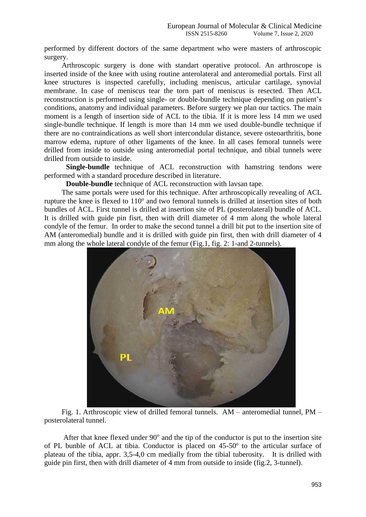performed by different doctors of the same department who were masters of arthroscopic surgery.

Arthroscopic surgery is done with standart operative protocol. An arthroscope is inserted inside of the knee with using routine anterolateral and anteromedial portals. First all knee structures is inspected carefully, including meniscus, articular cartilage, synovial membrane. In case of meniscus tear the torn part of meniscus is resected. Then ACL reconstruction is performed using single- or double-bundle technique depending on patient's conditions, anatomy and individual parameters. Before surgery we plan our tactics. The main moment is a length of insertion side of ACL to the tibia. If it is more less 14 mm we used single-bundle technique. If length is more than 14 mm we used double-bundle technique if there are no contraindications as well short intercondular distance, severe osteoarthritis, bone marrow edema, rupture of other ligaments of the knee. In all cases femoral tunnels were drilled from inside to outside using anteromedial portal technique, and tibial tunnels were drilled from outside to inside.

**Single-bundle** technique of ACL reconstruction with hamstring tendons were performed with a standard procedure described in literature.

**Double-bundle** technique of ACL reconstruction with lavsan tape.

The same portals were used for this technique. After arthroscopically revealing of ACL rupture the knee is flexed to 110° and two femoral tunnels is drilled at insertion sites of both bundles of ACL. First tunnel is drilled at insertion site of PL (posterolateral) bundle of ACL. It is drilled with guide pin fisrt, then with drill diameter of 4 mm along the whole lateral condyle of the femur. In order to make the second tunnel a drill bit put to the insertion site of AM (anteromedial) bundle and it is drilled with guide pin first, then with drill diameter of 4 mm along the whole lateral condyle of the femur (Fig.1, fig. 2: 1-and 2-tunnels).



Fig. 1. Arthroscopic view of drilled femoral tunnels. AM – anteromedial tunnel, PM – posterolateral tunnel.

After that knee flexed under  $90^\circ$  and the tip of the conductor is put to the insertion site of PL bunble of ACL at tibia. Conductor is placed on  $45-50$ <sup>o</sup> to the articular surface of plateau of the tibia, appr. 3,5-4,0 cm medially from the tibial tuberosity. It is drilled with guide pin first, then with drill diameter of 4 mm from outside to inside (fig.2, 3-tunnel).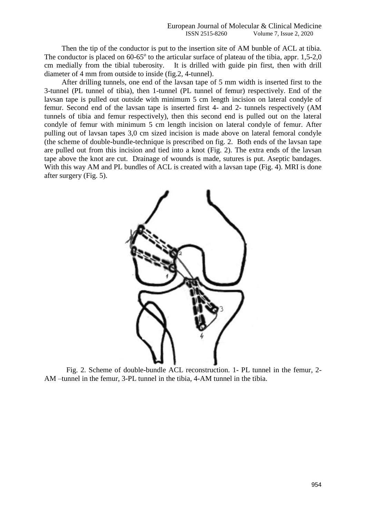Then the tip of the conductor is put to the insertion site of AM bunble of ACL at tibia. The conductor is placed on  $60-65^\circ$  to the articular surface of plateau of the tibia, appr. 1,5-2,0 cm medially from the tibial tuberosity. It is drilled with guide pin first, then with drill diameter of 4 mm from outside to inside (fig.2, 4-tunnel).

After drilling tunnels, one end of the lavsan tape of 5 mm width is inserted first to the 3-tunnel (PL tunnel of tibia), then 1-tunnel (PL tunnel of femur) respectively. End of the lavsan tape is pulled out outside with minimum 5 cm length incision on lateral condyle of femur. Second end of the lavsan tape is inserted first 4- and 2- tunnels respectively (AM tunnels of tibia and femur respectively), then this second end is pulled out on the lateral condyle of femur with minimum 5 cm length incision on lateral condyle of femur. After pulling out of lavsan tapes 3,0 cm sized incision is made above on lateral femoral condyle (the scheme of double-bundle-technique is prescribed on fig. 2. Both ends of the lavsan tape are pulled out from this incision and tied into a knot (Fig. 2). The extra ends of the lavsan tape above the knot are cut. Drainage of wounds is made, sutures is put. Aseptic bandages. With this way AM and PL bundles of ACL is created with a lavsan tape (Fig. 4). MRI is done after surgery (Fig. 5).



Fig. 2. Scheme of double-bundle ACL reconstruction. 1- PL tunnel in the femur, 2- AM –tunnel in the femur, 3-PL tunnel in the tibia, 4-AM tunnel in the tibia.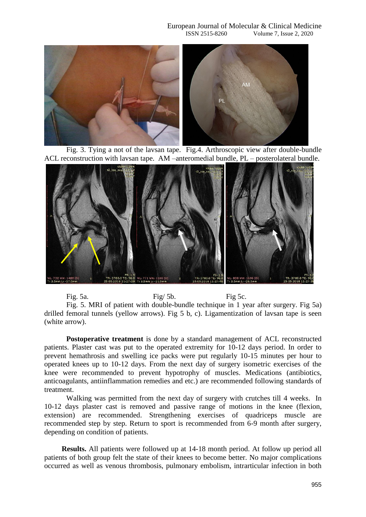

Fig. 3. Tying a not of the lavsan tape. Fig.4. Arthroscopic view after double-bundle ACL reconstruction with lavsan tape. AM –anteromedial bundle, PL – posterolateral bundle.



Fig. 5a. Fig. 5a. Fig. 5a.

Fig. 5. MRI of patient with double-bundle technique in 1 year after surgery. Fig 5a) drilled femoral tunnels (yellow arrows). Fig 5 b, c). Ligamentization of lavsan tape is seen (white arrow).

**Postoperative treatment** is done by a standard management of ACL reconstructed patients. Plaster cast was put to the operated extremity for 10-12 days period. In order to prevent hemathrosis and swelling ice packs were put regularly 10-15 minutes per hour to operated knees up to 10-12 days. From the next day of surgery isometric exercises of the knee were recommended to prevent hypotrophy of muscles. Medications (antibiotics, anticoagulants, antiinflammation remedies and etc.) are recommended following standards of treatment.

Walking was permitted from the next day of surgery with crutches till 4 weeks. In 10-12 days plaster cast is removed and passive range of motions in the knee (flexion, extension) are recommended. Strengthening exercises of quadriceps muscle are recommended step by step. Return to sport is recommended from 6-9 month after surgery, depending on condition of patients.

**Results.** All patients were followed up at 14-18 month period. At follow up period all patients of both group felt the state of their knees to become better. No major complications occurred as well as venous thrombosis, pulmonary embolism, intrarticular infection in both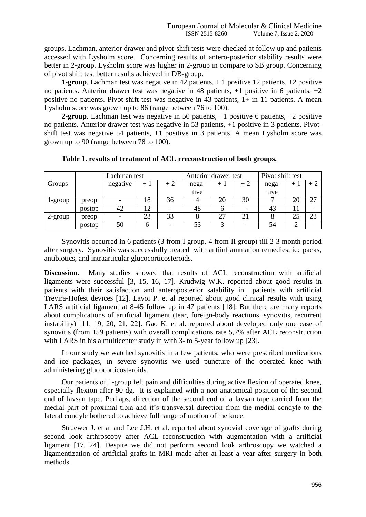groups. Lachman, anterior drawer and pivot-shift tests were checked at follow up and patients accessed with Lysholm score. Concerning results of antero-posterior stability results were better in 2-group. Lysholm score was higher in 2-group in compare to SB group. Concerning of pivot shift test better results achieved in DB-group.

**1-group**. Lachman test was negative in 42 patients,  $+1$  positive 12 patients,  $+2$  positive no patients. Anterior drawer test was negative in 48 patients,  $+1$  positive in 6 patients,  $+2$ positive no patients. Pivot-shift test was negative in 43 patients, 1+ in 11 patients. A mean Lysholm score was grown up to 86 (range between 76 to 100).

**2-group**. Lachman test was negative in 50 patients, +1 positive 6 patients, +2 positive no patients. Anterior drawer test was negative in 53 patients, +1 positive in 3 patients. Pivotshift test was negative 54 patients, +1 positive in 3 patients. A mean Lysholm score was grown up to 90 (range between 78 to 100).

|            |        | Lachman test      |      |      | Anterior drawer test |      |      | Pivot shift test |        |    |
|------------|--------|-------------------|------|------|----------------------|------|------|------------------|--------|----|
| Groups     |        | negative          | $+1$ | $+2$ | nega-                | $+1$ | $+2$ | nega-            | $^{+}$ |    |
|            |        |                   |      |      | tive                 |      |      | tive             |        |    |
| 1-group    | preop  |                   | 18   | 36   |                      | 20   | 30   |                  | 20     | 27 |
|            | postop | 42                | 12   |      | 48                   | h    |      | 43               |        |    |
| $2$ -group | preop  | $\qquad \qquad -$ | 23   | 33   |                      | 27   | 21   |                  | 25     | 23 |
|            | postop | 50                |      |      | 53                   |      |      | 54               | ∍      |    |

**Table 1. results of treatment of ACL rreconstruction of both groups.** 

Synovitis occurred in 6 patients (3 from I group, 4 from II group) till 2-3 month period after surgery. Synovitis was successfully treated with antiinflammation remedies, ice packs, antibiotics, and intraarticular glucocorticosteroids.

**Discussion**. Many studies showed that results of ACL reconstruction with artificial ligaments were successful [3, 15, 16, 17]. Krudwig W.K. reported about good results in patients with their satisfaction and anteroposterior satability in patients with artificial Trevira-Hofest devices [12]. Lavoi P. et al reported about good clinical results with using LARS artificial ligament at 8-45 follow up in 47 patients [18]. But there are many reports about complications of artificial ligament (tear, foreign-body reactions, synovitis, recurrent instability) [11, 19, 20, 21, 22]. Gao K. et al. reported about developed only one case of synovitis (from 159 patients) with overall complications rate 5,7% after ACL reconstruction with LARS in his a multicenter study in with 3- to 5-year follow up [23].

In our study we watched synovitis in a few patients, who were prescribed medications and ice packages, in severe synovitis we used puncture of the operated knee with administering glucocorticosteroids.

Our patients of 1-group felt pain and difficulties during active flexion of operated knee, especially flexion after 90 dg. It is explained with a non anatomical position of the second end of lavsan tape. Perhaps, direction of the second end of a lavsan tape carried from the medial part of proximal tibia and it's transversal direction from the medial condyle to the lateral condyle bothered to achieve full range of motion of the knee.

Struewer J. et al and Lee J.H. et al. reported about synovial coverage of grafts during second look arthroscopy after ACL reconstruction with augmentation with a artificial ligament [17, 24]. Despite we did not perform second look arthroscopy we watched a ligamentization of artificial grafts in MRI made after at least a year after surgery in both methods.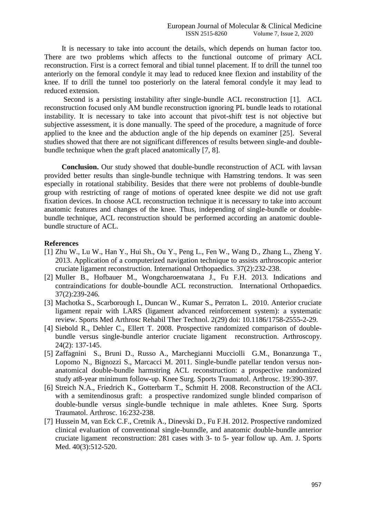It is necessary to take into account the details, which depends on human factor too. There are two problems which affects to the functional outcome of primary ACL reconstruction. First is a correct femoral and tibial tunnel placement. If to drill the tunnel too anteriorly on the femoral condyle it may lead to reduced knee flexion and instability of the knee. If to drill the tunnel too posteriorly on the lateral femoral condyle it may lead to reduced extension.

Second is a persisting instability after single-bundle ACL reconstruction [1]. ACL reconstruction focused only AM bundle reconstruction ignoring PL bundle leads to rotational instability. It is necessary to take into account that pivot-shift test is not objective but subjective assessment, it is done manually. The speed of the procedure, a magnitude of force applied to the knee and the abduction angle of the hip depends on examiner [25]. Several studies showed that there are not significant differences of results between single-and doublebundle technique when the graft placed anatomically [7, 8].

**Conclusion.** Our study showed that double-bundle reconstruction of ACL with lavsan provided better results than single-bundle technique with Hamstring tendons. It was seen especially in rotational stabibility. Besides that there were not problems of double-bundle group with restricting of range of motions of operated knee despite we did not use graft fixation devices. In choose ACL reconstruction technique it is necessary to take into account anatomic features and changes of the knee. Thus, independing of single-bundle or doublebundle technique, ACL reconstruction should be performed according an anatomic doublebundle structure of ACL.

## **References**

- [1] Zhu W., Lu W., Han Y., Hui Sh., Ou Y., Peng L., Fen W., Wang D., Zhang L., Zheng Y. 2013. Application of a computerized navigation technique to assists arthroscopic anterior cruciate ligament reconstruction. International Orthopaedics. 37(2):232-238.
- [2] Muller B., Hofbauer M., Wongcharoenwatana J., Fu F.H. 2013. Indications and contraindications for double-boundle ACL reconstruction. International Orthopaedics. 37(2):239-246.
- [3] Machotka S., Scarborough I., Duncan W., Kumar S., Perraton L. 2010. Anterior cruciate ligament repair with LARS (ligament advanced reinforcement system): a systematic review. Sports Med Arthrosc Rehabil Ther Technol. 2(29) doi: 10.1186/1758-2555-2-29.
- [4] Siebold R., Dehler C., Ellert T. 2008. Prospective randomized comparison of doublebundle versus single-bundle anterior cruciate ligament reconstruction. Arthroscopy. 24(2): 137-145.
- [5] Zaffagnini S., Bruni D., Russo A., Marchegianni Mucciolli G.M., Bonanzunga T., Lopomo N., Bignozzi S., Marcacci M. 2011. Single-bundle patellar tendon versus nonanatomical double-bundle harmstring ACL reconstruction: a prospective randomized study at8-year minimum follow-up. Knee Surg. Sports Traumatol. Arthrosc. 19:390-397.
- [6] Streich N.A., Friedrich K., Gotterbarm T., Schmitt H. 2008. Reconstruction of the ACL with a semitendinosus graft: a prospective randomized sungle blinded comparison of double-bundle versus single-bundle technique in male athletes. Knee Surg. Sports Traumatol. Arthrosc. 16:232-238.
- [7] Hussein M, van Eck C.F., Cretnik A., Dinevski D., Fu F.H. 2012. Prospective randomized clinical evaluation of conventional single-bunndle, and anatomic double-bundle anterior cruciate ligament reconstruction: 281 cases with 3- to 5- year follow up. Am. J. Sports Med. 40(3):512-520.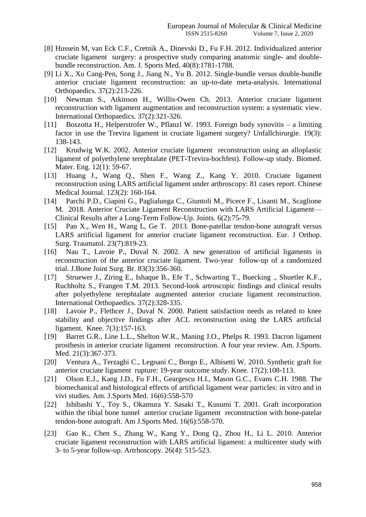- [8] Hussein M, van Eck C.F., Cretnik A., Dinevski D., Fu F.H. 2012. Individualized anterior cruciate ligament surgery: a prospective study comparing anatomic single- and doublebundle reconstruction. Am. J. Sports Med. 40(8):1781-1788.
- [9] Li X., Xu Cang-Pen, Song J., Jiang N., Yu B. 2012. Single-bundle versus double-bundle anterior cruciate ligament reconstruction: an up-to-date meta-analysis. International Orthopaedics. 37(2):213-226.
- [10] Newman S., Atkinson H., Willis-Owen Ch. 2013. Anterior cruciate ligament reconstruction with ligament augmentation and reconstruction system: a systematic view. International Orthopaedics. 37(2):321-326.
- [11] Boszotta H., Helperstrofer W., Pflanzl W. 1993. Foreign body synovitis a limiting factor in use the Trevira ligament in cruciate ligament surgery? Unfallchirurgie. 19(3): 138-143.
- [12] Krudwig W.K. 2002. Anterior cruciate ligament reconstruction using an alloplastic ligament of polyethylene terephtalate (PET-Trevira-hochfest). Follow-up study. Biomed. Mater. Eng. 12(1): 59-67.
- [13] Huang J., Wang Q., Shen F., Wang Z., Kang Y. 2010. Cruciate ligament reconstruction using LARS artificial ligament under arthroscopy: 81 cases report. Chinese Medical Journal. 123(2): 160-164.
- [14] Parchi P.D., Ciapini G., Paglialunga C., Giuntoli M., Picece F., Lisanti M., Scaglione M. 2018. Anterior Cruciate Ligament Reconstruction with LARS Artificial Ligament— Clinical Results after a Long-Term Follow-Up. Joints. 6(2):75-79.
- [15] Pan X., Wen H., Wang L, Ge T. 2013. Bone-patellar tendon-bone autograft versus LARS artificial ligament for anterior cruciate ligament reconstruction. Eur. J Orthop. Surg. Traumatol. 23(7):819-23.
- [16] Nau T., Lavoie P., Duval N. 2002. A new generation of artificial ligaments in reconstruction of the anterior cruciate ligament. Two-year follow-up of a randomized trial. J.Bone Joint Surg. Br. 83(3):356-360.
- [17] Struewer J., Ziring E., Ishaque B., Efe T., Schwarting T., Buecking ., Shuetler K.F., Ruchholtz S., Frangen T.M. 2013. Second-look artroscopic findings and clinical results after polyethylene terephtalate augmented anterior cruciate ligament reconstruction. International Orthopaedics. 37(2):328-335.
- [18] Lavoie P., Flethcer J., Duval N. 2000. Patient satisfaction needs as related to knee stability and objective findings after ACL reconstruction using the LARS artificial ligament. Knee. 7(3):157-163.
- [19] Barret G.R., Line L.L., Shelton W.R., Maning J.O., Phelps R. 1993. Dacron ligament prosthesis in anterior cruciate ligament reconstruction. A four year review. Am. J.Sports. Med. 21(3):367-373.
- [20] Ventura A., Terzaghi C., Legnani C., Borgo E., Albisetti W. 2010. Synthetic graft for anterior cruciate ligament rupture: 19-year outcome study. Knee. 17(2):108-113.
- [21] Olson E.J., Kang J.D., Fu F.H., Geargescu H.I., Mason G.C., Evans C.H. 1988. The biomechanical and histological effects of artificial ligament wear particles: in vitro and in vivi studies. Am. J.Sports Med. 16(6):558-570
- [22] Ishibashi Y., Toy S., Okamura Y. Sasaki T., Kusumi T. 2001. Graft incorporation within the tibial bone tunnel anterior cruciate ligament reconstruction with bone-patelar tendon-bone autograft. Am J.Sports Med. 16(6):558-570.
- [23] Gao K., Chen S., Zhang W., Kang Y., Dong Q., Zhou H., Li L. 2010. Anterior cruciate ligament reconstruction with LARS artificial ligament: a multicenter study with 3- to 5-year follow-up. Artrhoscopy. 26(4): 515-523.